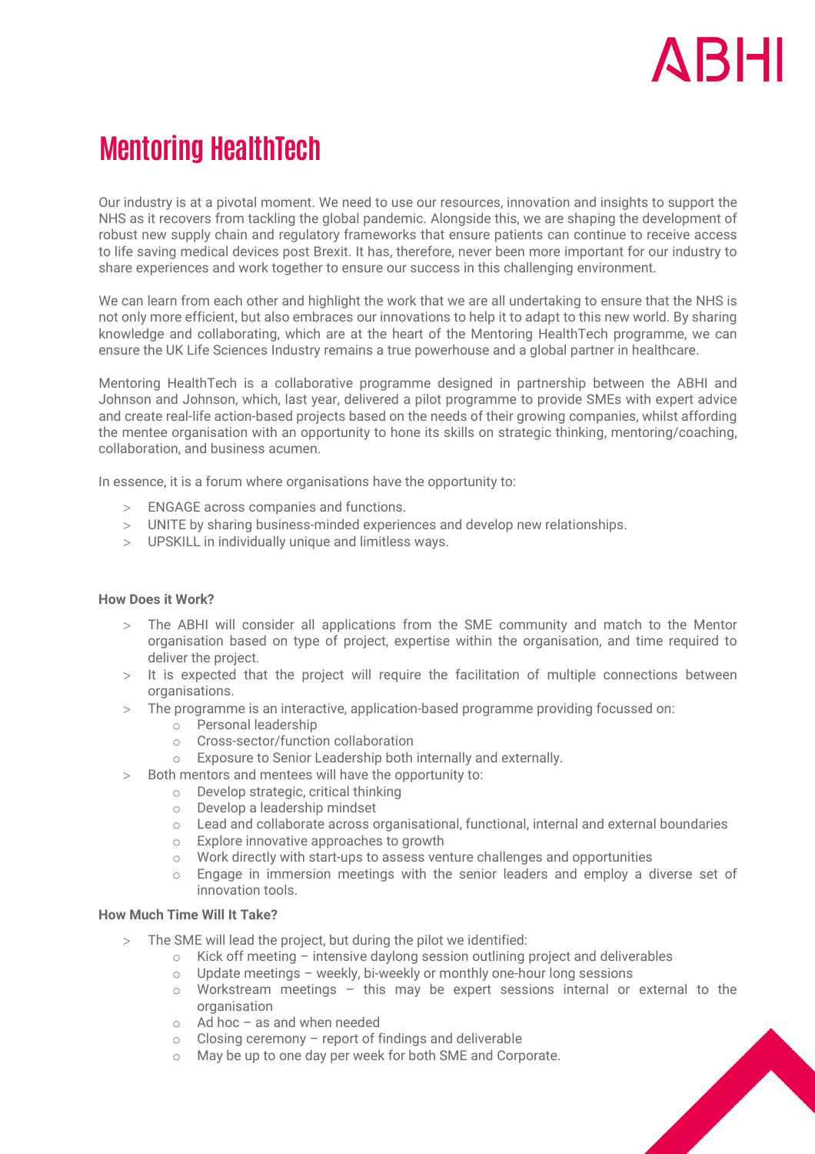

# **Mentoring HealthTech**

Our industry is at a pivotal moment. We need to use our resources, innovation and insights to support the NHS as it recovers from tackling the global pandemic. Alongside this, we are shaping the development of robust new supply chain and regulatory frameworks that ensure patients can continue to receive access to life saving medical devices post Brexit. It has, therefore, never been more important for our industry to share experiences and work together to ensure our success in this challenging environment.

We can learn from each other and highlight the work that we are all undertaking to ensure that the NHS is not only more efficient, but also embraces our innovations to help it to adapt to this new world. By sharing knowledge and collaborating, which are at the heart of the Mentoring HealthTech programme, we can ensure the UK Life Sciences Industry remains a true powerhouse and a global partner in healthcare.

Mentoring HealthTech is a collaborative programme designed in partnership between the ABHI and Johnson and Johnson, which, last year, delivered a pilot programme to provide SMEs with expert advice and create real-life action-based projects based on the needs of their growing companies, whilst affording the mentee organisation with an opportunity to hone its skills on strategic thinking, mentoring/coaching, collaboration, and business acumen.

In essence, it is a forum where organisations have the opportunity to:

- > ENGAGE across companies and functions.
- > UNITE by sharing business-minded experiences and develop new relationships.
- > UPSKILL in individually unique and limitless ways.

#### **How Does it Work?**

- > The ABHI will consider all applications from the SME community and match to the Mentor organisation based on type of project, expertise within the organisation, and time required to deliver the project.
- > It is expected that the project will require the facilitation of multiple connections between organisations.
- > The programme is an interactive, application-based programme providing focussed on:
	- o Personal leadership
	- o Cross-sector/function collaboration
	- o Exposure to Senior Leadership both internally and externally.
- > Both mentors and mentees will have the opportunity to:
	- o Develop strategic, critical thinking
	- o Develop a leadership mindset
	- o Lead and collaborate across organisational, functional, internal and external boundaries
	- o Explore innovative approaches to growth
	- $\circ$  Work directly with start-ups to assess venture challenges and opportunities
	- $\circ$  Engage in immersion meetings with the senior leaders and employ a diverse set of innovation tools.

## **How Much Time Will It Take?**

- > The SME will lead the project, but during the pilot we identified:
	- $\circ$  Kick off meeting intensive daylong session outlining project and deliverables
	- o Update meetings weekly, bi-weekly or monthly one-hour long sessions
	- o Workstream meetings this may be expert sessions internal or external to the organisation
	- o Ad hoc as and when needed
	- $\circ$  Closing ceremony report of findings and deliverable
	- o May be up to one day per week for both SME and Corporate.